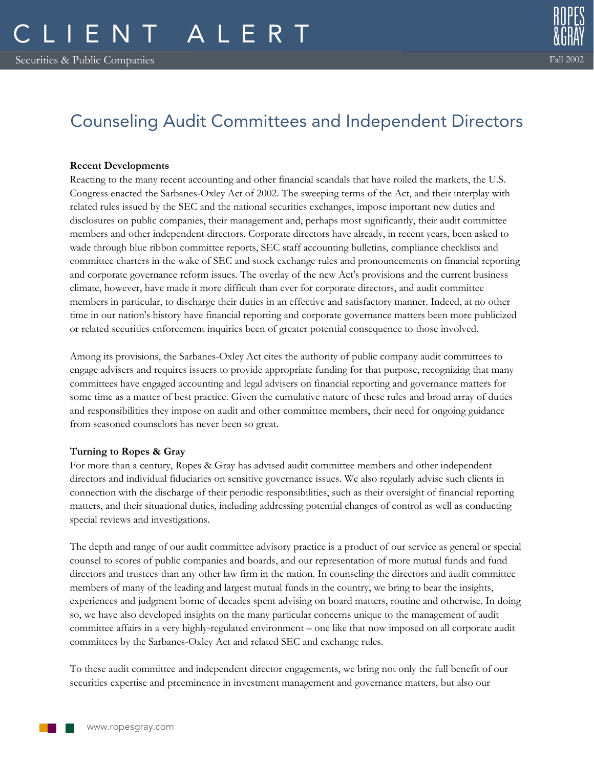## Counseling Audit Committees and Independent Directors

## **Recent Developments**

Reacting to the many recent accounting and other financial scandals that have roiled the markets, the U.S. Congress enacted the Sarbanes-Oxley Act of 2002. The sweeping terms of the Act, and their interplay with related rules issued by the SEC and the national securities exchanges, impose important new duties and disclosures on public companies, their management and, perhaps most significantly, their audit committee members and other independent directors. Corporate directors have already, in recent years, been asked to wade through blue ribbon committee reports, SEC staff accounting bulletins, compliance checklists and committee charters in the wake of SEC and stock exchange rules and pronouncements on financial reporting and corporate governance reform issues. The overlay of the new Act's provisions and the current business climate, however, have made it more difficult than ever for corporate directors, and audit committee members in particular, to discharge their duties in an effective and satisfactory manner. Indeed, at no other time in our nation's history have financial reporting and corporate governance matters been more publicized or related securities enforcement inquiries been of greater potential consequence to those involved.

Among its provisions, the Sarbanes-Oxley Act cites the authority of public company audit committees to engage advisers and requires issuers to provide appropriate funding for that purpose, recognizing that many committees have engaged accounting and legal advisers on financial reporting and governance matters for some time as a matter of best practice. Given the cumulative nature of these rules and broad array of duties and responsibilities they impose on audit and other committee members, their need for ongoing guidance from seasoned counselors has never been so great.

## **Turning to Ropes & Gray**

For more than a century, Ropes & Gray has advised audit committee members and other independent directors and individual fiduciaries on sensitive governance issues. We also regularly advise such clients in connection with the discharge of their periodic responsibilities, such as their oversight of financial reporting matters, and their situational duties, including addressing potential changes of control as well as conducting special reviews and investigations.

The depth and range of our audit committee advisory practice is a product of our service as general or special counsel to scores of public companies and boards, and our representation of more mutual funds and fund directors and trustees than any other law firm in the nation. In counseling the directors and audit committee members of many of the leading and largest mutual funds in the country, we bring to bear the insights, experiences and judgment borne of decades spent advising on board matters, routine and otherwise. In doing so, we have also developed insights on the many particular concerns unique to the management of audit committee affairs in a very highly-regulated environment – one like that now imposed on all corporate audit committees by the Sarbanes-Oxley Act and related SEC and exchange rules.

To these audit committee and independent director engagements, we bring not only the full benefit of our securities expertise and preeminence in investment management and governance matters, but also our